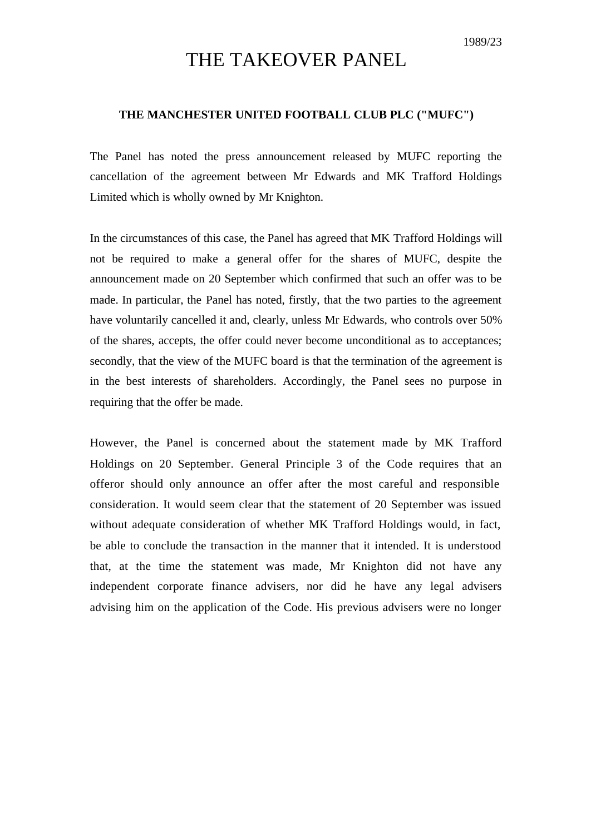## THE TAKEOVER PANEL

## **THE MANCHESTER UNITED FOOTBALL CLUB PLC ("MUFC")**

The Panel has noted the press announcement released by MUFC reporting the cancellation of the agreement between Mr Edwards and MK Trafford Holdings Limited which is wholly owned by Mr Knighton.

In the circumstances of this case, the Panel has agreed that MK Trafford Holdings will not be required to make a general offer for the shares of MUFC, despite the announcement made on 20 September which confirmed that such an offer was to be made. In particular, the Panel has noted, firstly, that the two parties to the agreement have voluntarily cancelled it and, clearly, unless Mr Edwards, who controls over 50% of the shares, accepts, the offer could never become unconditional as to acceptances; secondly, that the view of the MUFC board is that the termination of the agreement is in the best interests of shareholders. Accordingly, the Panel sees no purpose in requiring that the offer be made.

However, the Panel is concerned about the statement made by MK Trafford Holdings on 20 September. General Principle 3 of the Code requires that an offeror should only announce an offer after the most careful and responsible consideration. It would seem clear that the statement of 20 September was issued without adequate consideration of whether MK Trafford Holdings would, in fact, be able to conclude the transaction in the manner that it intended. It is understood that, at the time the statement was made, Mr Knighton did not have any independent corporate finance advisers, nor did he have any legal advisers advising him on the application of the Code. His previous advisers were no longer